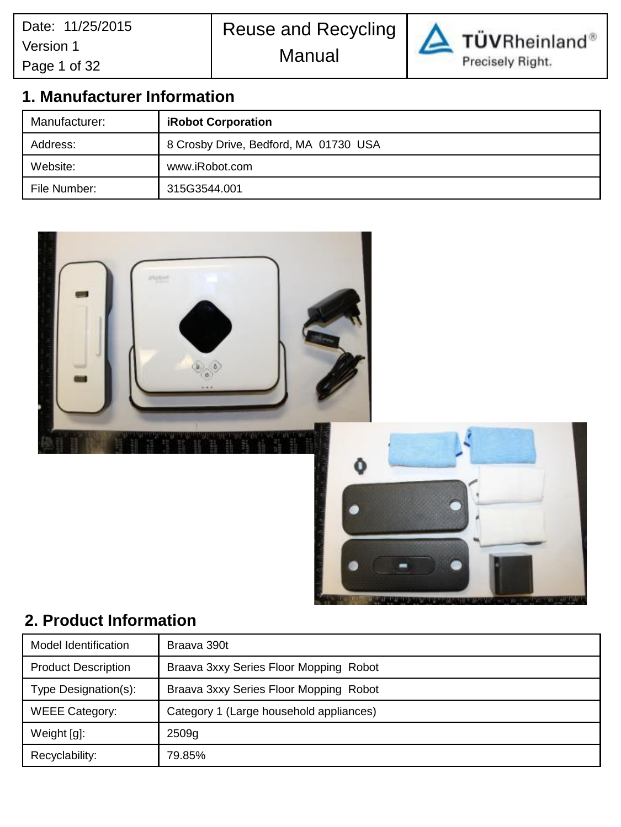# Reuse and Recycling Manual



TÜVRheinland® Precisely Right.

# **1. Manufacturer Information**

| Manufacturer: | <b>iRobot Corporation</b>             |  |
|---------------|---------------------------------------|--|
| Address:      | 8 Crosby Drive, Bedford, MA 01730 USA |  |
| Website:      | www.iRobot.com                        |  |
| File Number:  | 315G3544.001                          |  |



# **2. Product Information**

| Model Identification                                             | Braava 390t                            |
|------------------------------------------------------------------|----------------------------------------|
| <b>Product Description</b>                                       | Braava 3xxy Series Floor Mopping Robot |
| Type Designation(s):                                             | Braava 3xxy Series Floor Mopping Robot |
| Category 1 (Large household appliances)<br><b>WEEE Category:</b> |                                        |
| Weight [g]:                                                      | 2509 <sub>g</sub>                      |
| Recyclability:                                                   | 79.85%                                 |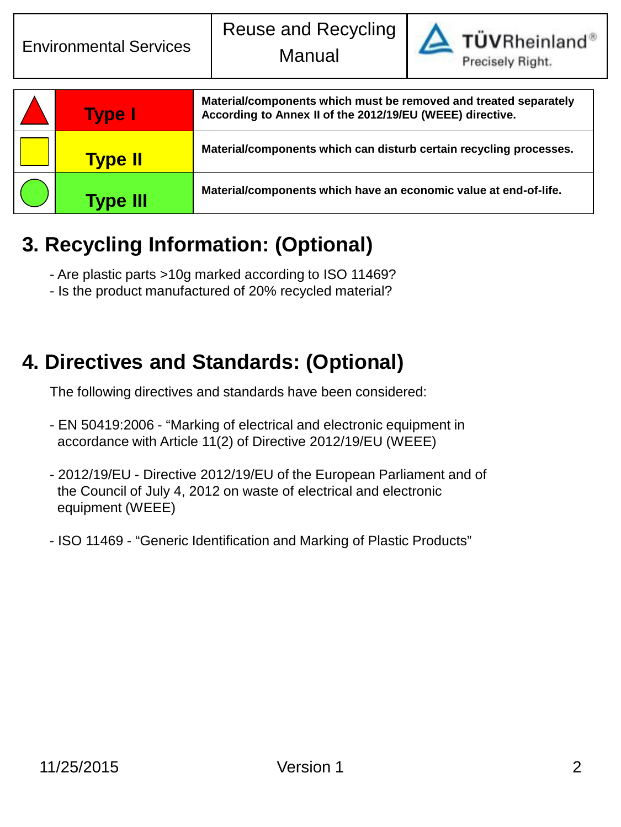

**TÜVRheinland®** 

| <b>Type I</b>   | Material/components which must be removed and treated separately<br>According to Annex II of the 2012/19/EU (WEEE) directive. |
|-----------------|-------------------------------------------------------------------------------------------------------------------------------|
| <b>Type II</b>  | Material/components which can disturb certain recycling processes.                                                            |
| <b>Type III</b> | Material/components which have an economic value at end-of-life.                                                              |

# **3. Recycling Information: (Optional)**

- Are plastic parts >10g marked according to ISO 11469?
- Is the product manufactured of 20% recycled material?

# **4. Directives and Standards: (Optional)**

The following directives and standards have been considered:

- EN 50419:2006 "Marking of electrical and electronic equipment in accordance with Article 11(2) of Directive 2012/19/EU (WEEE)
- 2012/19/EU Directive 2012/19/EU of the European Parliament and of the Council of July 4, 2012 on waste of electrical and electronic equipment (WEEE)
- ISO 11469 "Generic Identification and Marking of Plastic Products"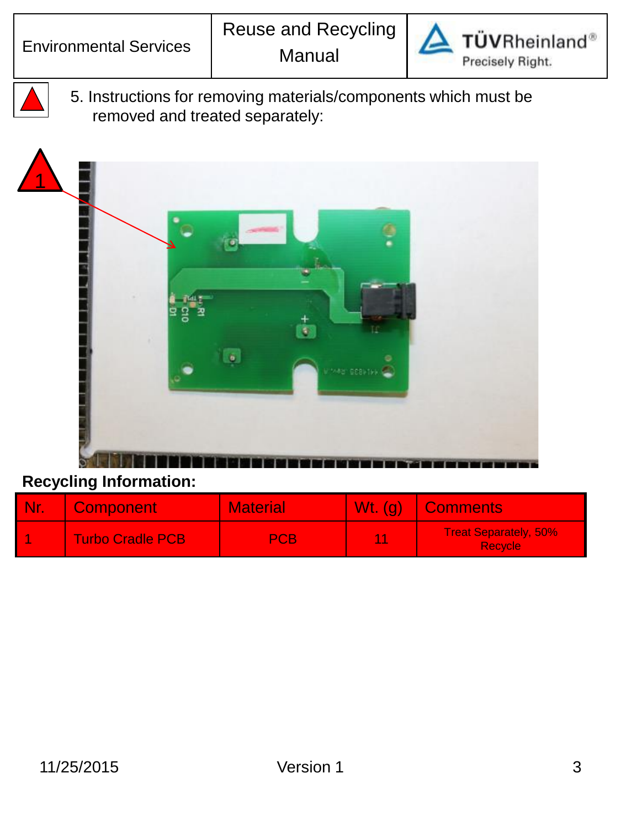

5. Instructions for removing materials/components which must be removed and treated separately:



| <b>Nr.</b> | <b>Component</b>        | <b>Material</b> | $Wt.$ (g) | <b>Comments</b>                                |
|------------|-------------------------|-----------------|-----------|------------------------------------------------|
|            | <b>Turbo Cradle PCB</b> | <b>PCB</b>      | 44        | <b>Treat Separately, 50%</b><br><b>Recycle</b> |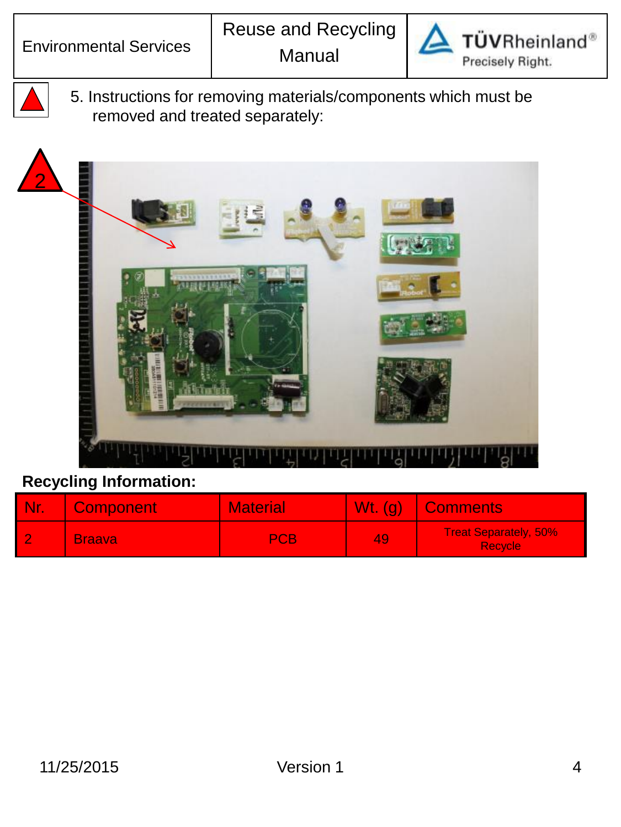

5. Instructions for removing materials/components which must be removed and treated separately:



| <b>Nr</b> | <b>Component</b> | <b>Material</b> | Wt. (q) | Comments                                       |
|-----------|------------------|-----------------|---------|------------------------------------------------|
|           | <b>Braava</b>    | <b>PCB</b>      | 49      | <b>Treat Separately, 50%</b><br><b>Recycle</b> |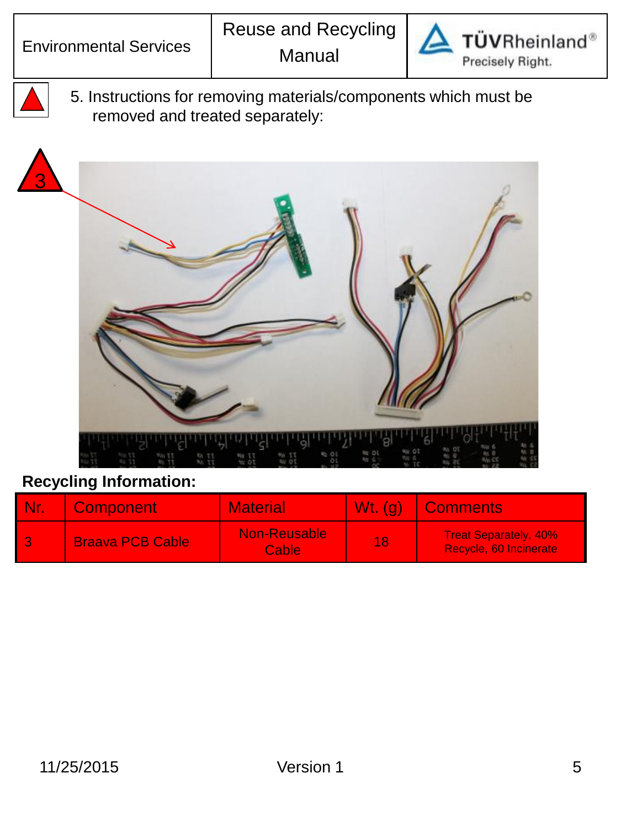3



TÜVRheinland® Precisely Right.

5. Instructions for removing materials/components which must be removed and treated separately:



| <b>Nr</b> | <b>Component</b>        | <b>Material</b>                     | $Wt.$ (g) | Comments                                               |
|-----------|-------------------------|-------------------------------------|-----------|--------------------------------------------------------|
|           | <b>Braava PCB Cable</b> | <b>Non-Reusable</b><br><b>Cable</b> | 18        | <b>Treat Separately, 40%</b><br>Recycle, 60 Incinerate |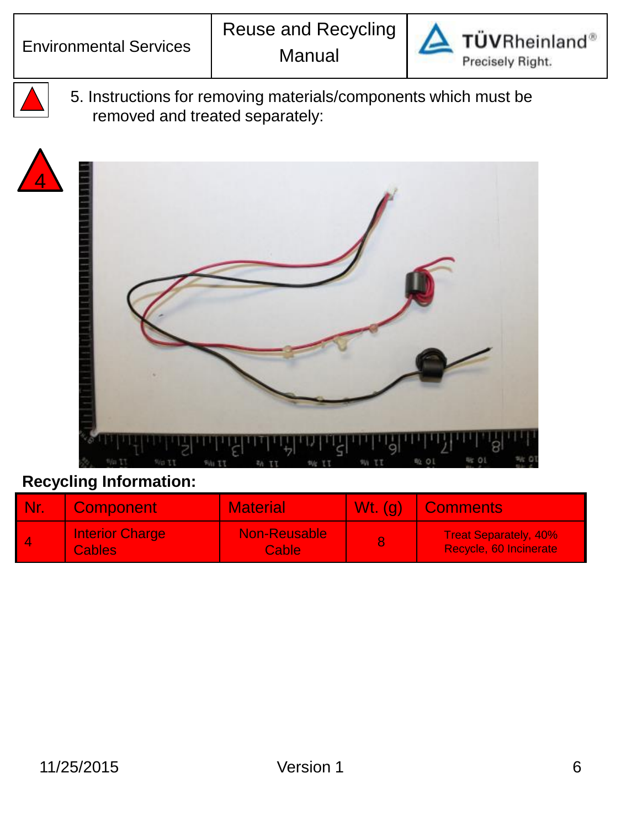

5. Instructions for removing materials/components which must be removed and treated separately:





| <b>Nr</b> | <b>Component</b>                        | <b>Material</b>              | $Wt.$ (g) | <b>Comments</b>                                        |
|-----------|-----------------------------------------|------------------------------|-----------|--------------------------------------------------------|
| 4         | <b>Interior Charge</b><br><b>Cables</b> | Non-Reusable<br><b>Cable</b> |           | <b>Treat Separately, 40%</b><br>Recycle, 60 Incinerate |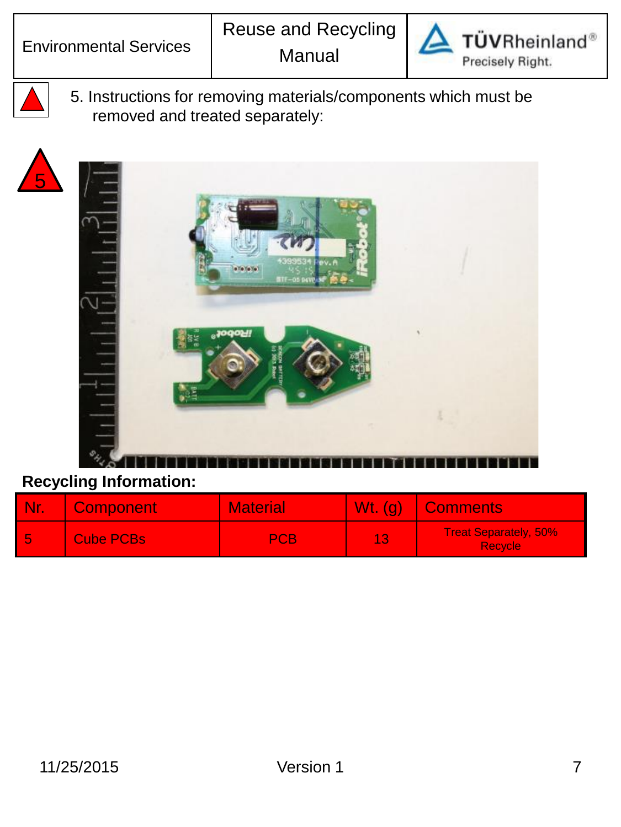



5

5. Instructions for removing materials/components which must be removed and treated separately:



| <b>Nr</b> | <b>Component</b> | <b>Material</b> | $Wt.$ (g) | Comments <sup>1</sup>                          |
|-----------|------------------|-----------------|-----------|------------------------------------------------|
| -5        | <b>Cube PCBs</b> | PCB             |           | <b>Treat Separately, 50%</b><br><b>Recycle</b> |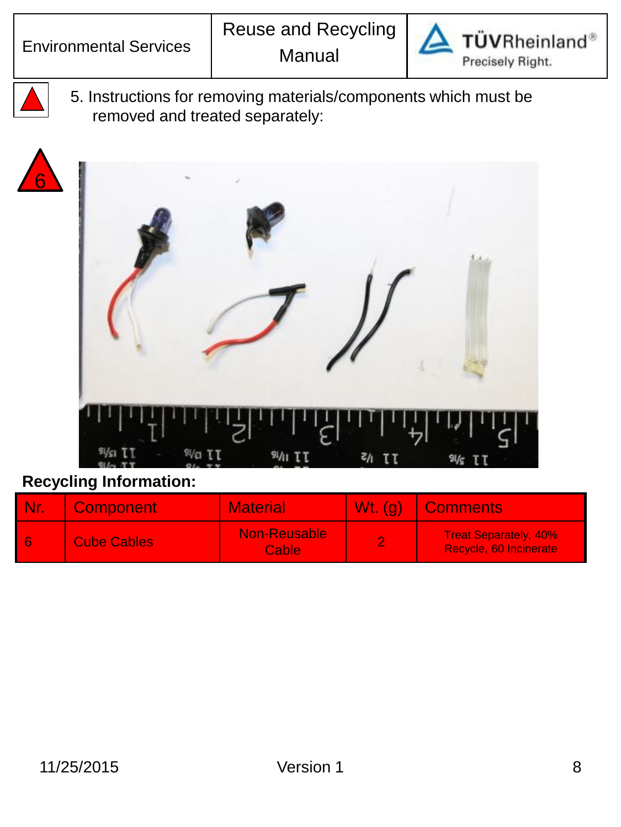

5. Instructions for removing materials/components which must be removed and treated separately:





| <b>Nr.</b> | <b>Component</b>   | <b>Material</b>              | Wt. (g)   Comments                                     |
|------------|--------------------|------------------------------|--------------------------------------------------------|
| 6          | <b>Cube Cables</b> | <b>Non-Reusable</b><br>Cable | <b>Treat Separately, 40%</b><br>Recycle, 60 Incinerate |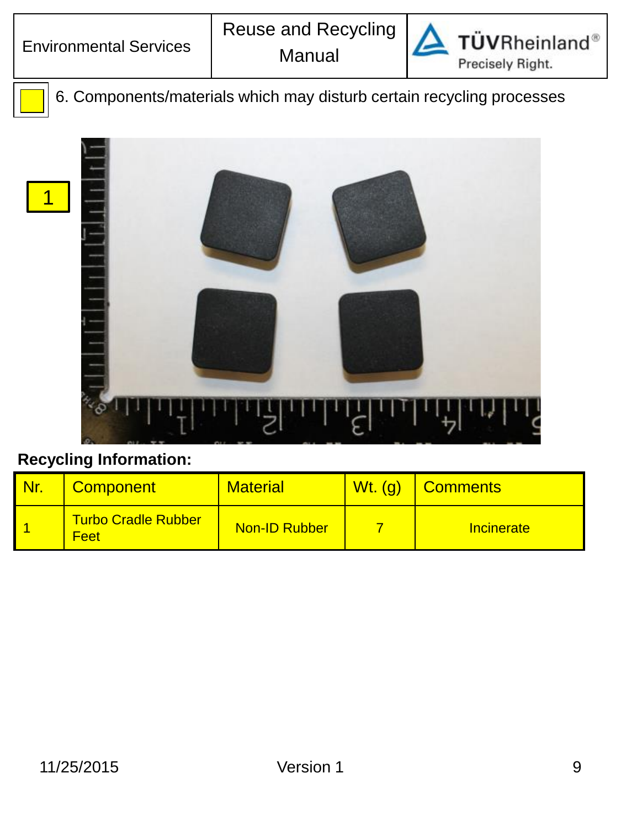1



**TÜVRheinland®** Precisely Right.

6. Components/materials which may disturb certain recycling processes



| <b>Nr.</b> | <b>Component</b>                          | <b>Material</b> | $Wt.$ (g) | <b>Comments</b>   |
|------------|-------------------------------------------|-----------------|-----------|-------------------|
|            | <b>Turbo Cradle Rubber</b><br><b>Feet</b> | Non-ID Rubber   |           | <b>Incinerate</b> |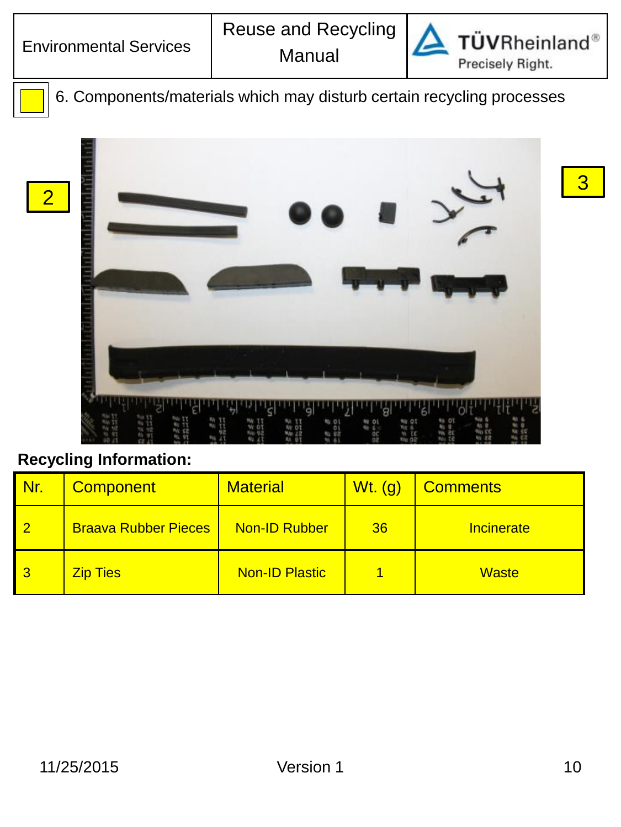2



**TÜVRheinland®** Precisely Right.

3

6. Components/materials which may disturb certain recycling processes



| Nr. | <b>Component</b>            | <b>Material</b>       | $Wt.$ (g) | Comments     |
|-----|-----------------------------|-----------------------|-----------|--------------|
|     | <b>Braava Rubber Pieces</b> | <b>Non-ID Rubber</b>  | 36        | Incinerate   |
|     | <b>Zip Ties</b>             | <b>Non-ID Plastic</b> |           | <b>Waste</b> |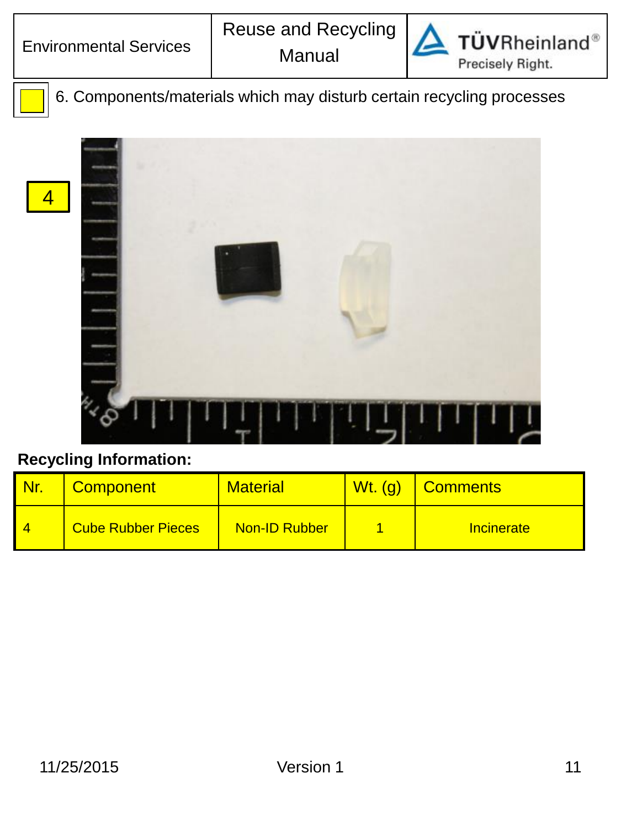4



**TÜVRheinland**® Precisely Right.

6. Components/materials which may disturb certain recycling processes



| <b>Component</b>          | <b>Material</b>      | <b>Wt. (g)</b> | <b>Comments</b> |
|---------------------------|----------------------|----------------|-----------------|
| <b>Cube Rubber Pieces</b> | <b>Non-ID Rubber</b> |                | Incinerate      |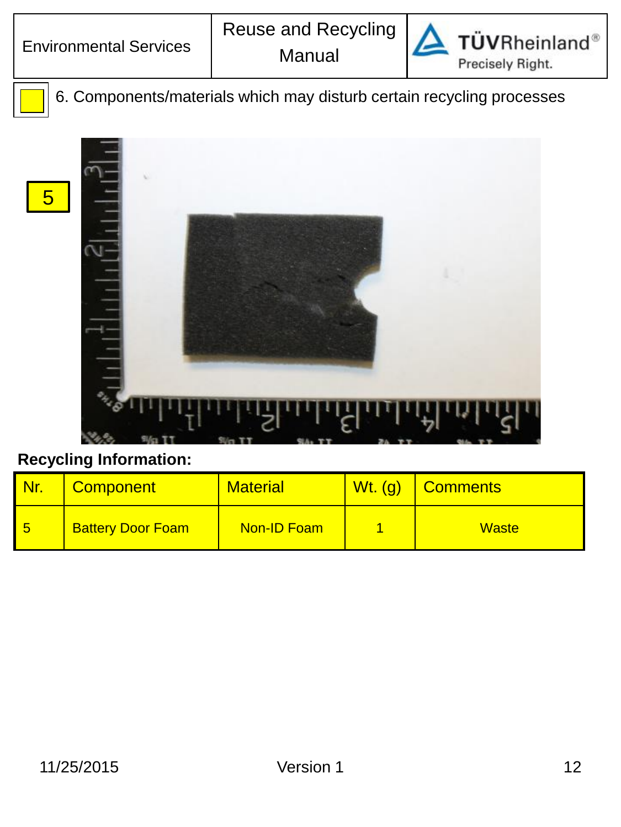5



**TÜVRheinland®** Precisely Right.

6. Components/materials which may disturb certain recycling processes



|          | <b>Component</b>         | <b>Material</b> | <b>Wt.</b> (g) | Comments     |
|----------|--------------------------|-----------------|----------------|--------------|
| <u>5</u> | <b>Battery Door Foam</b> | Non-ID Foam     |                | <b>Waste</b> |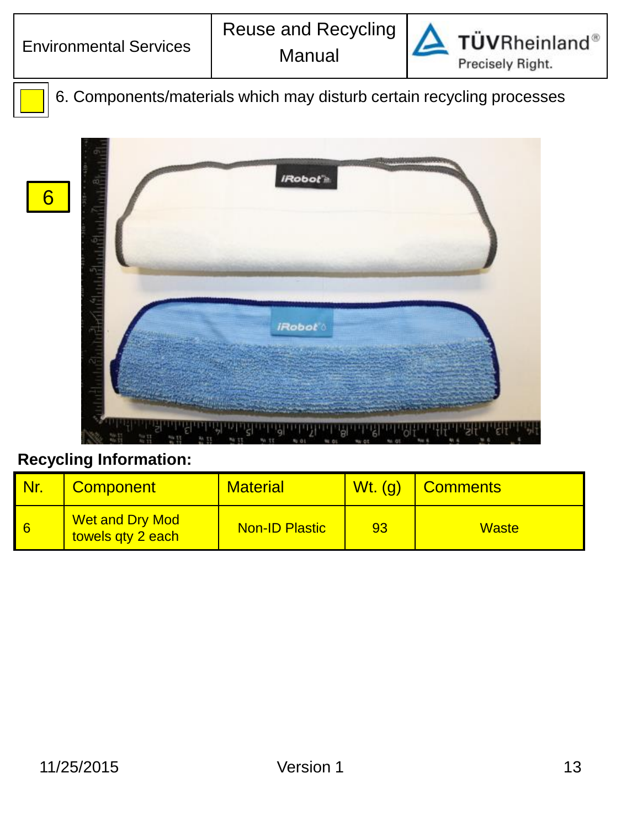6



**TÜVRheinland®** Precisely Right.

6. Components/materials which may disturb certain recycling processes



| <b>Nr.</b> | <b>Component</b>                            | <b>Material</b>       | <b>Wt.</b> (g) | <b>Comments</b> |
|------------|---------------------------------------------|-----------------------|----------------|-----------------|
| 6          | <b>Wet and Dry Mod</b><br>towels qty 2 each | <b>Non-ID Plastic</b> | 93             | <b>Waste</b>    |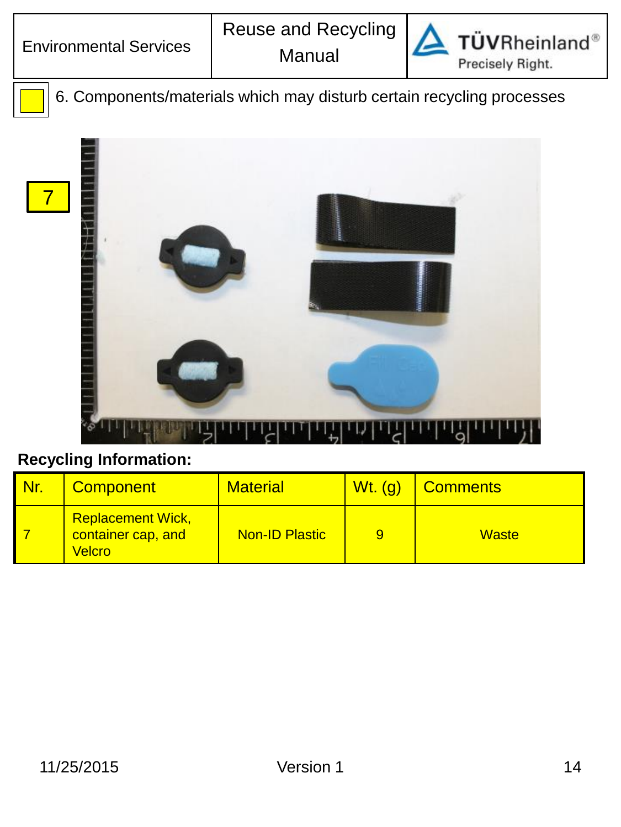7



**TÜVRheinland®** Precisely Right.

6. Components/materials which may disturb certain recycling processes



| Nr. | <b>Component</b>                                         | <b>Material</b>       | <b>Wt.</b> (g) | <b>Comments</b> |
|-----|----------------------------------------------------------|-----------------------|----------------|-----------------|
|     | <b>Replacement Wick,</b><br>container cap, and<br>Velcro | <b>Non-ID Plastic</b> | 9              | <b>Waste</b>    |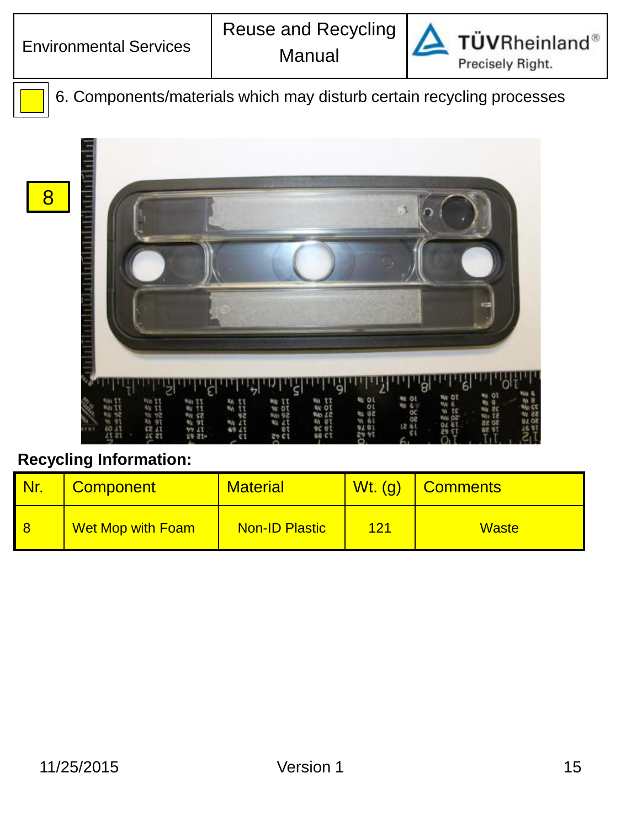8



**TÜVRheinland®** Precisely Right.

6. Components/materials which may disturb certain recycling processes



| Nr. | <b>Component</b>         | <b>Material</b>       | $Wt.$ (g) | Comments     |
|-----|--------------------------|-----------------------|-----------|--------------|
|     | <b>Wet Mop with Foam</b> | <b>Non-ID Plastic</b> | 121       | <b>Waste</b> |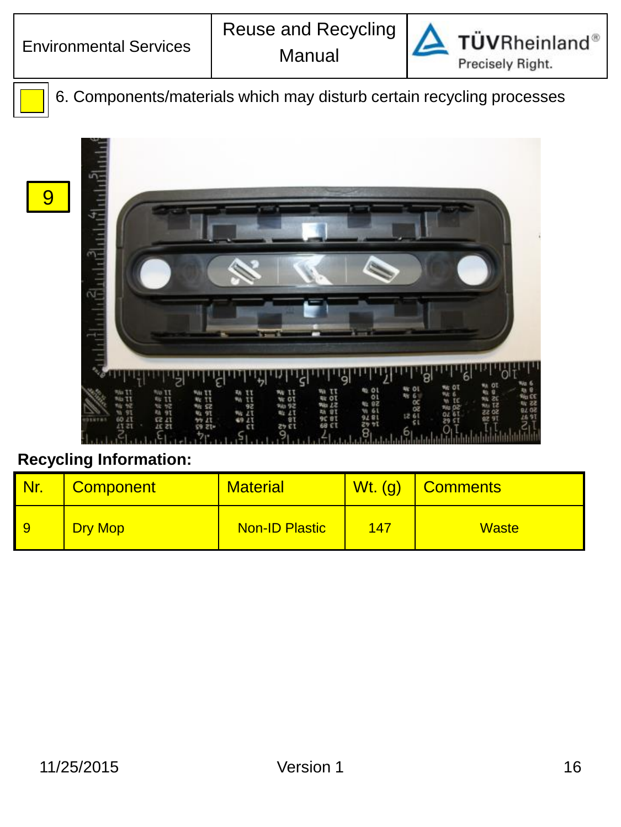9



**TÜVRheinland®** Precisely Right.

6. Components/materials which may disturb certain recycling processes



|                | <b>Component</b> | <b>Material</b>       | $Wt.$ (g) | Comments     |
|----------------|------------------|-----------------------|-----------|--------------|
| $\overline{9}$ | <b>Dry Mop</b>   | <b>Non-ID Plastic</b> | 147       | <b>Waste</b> |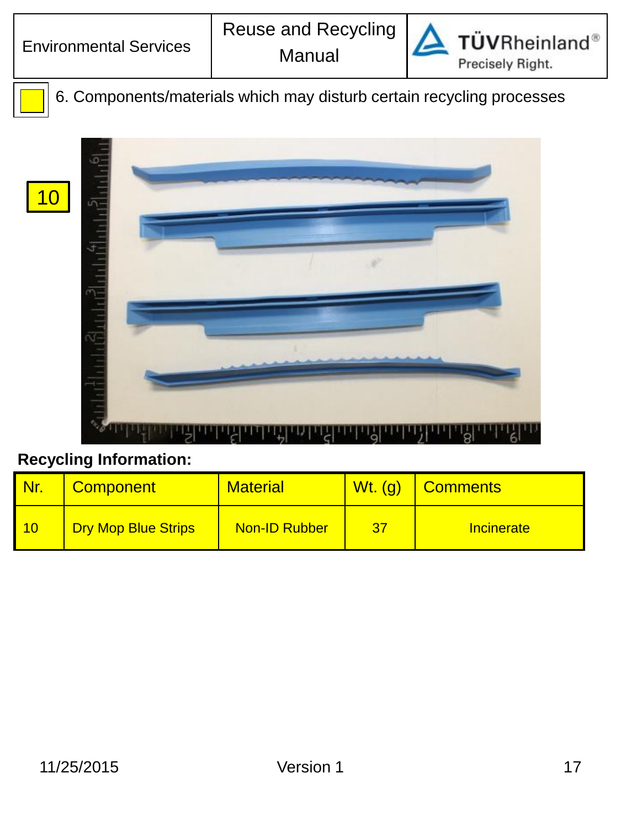

**TÜVRheinland®** Precisely Right.

6. Components/materials which may disturb certain recycling processes



|    | <b>Component</b>           | <b>Material</b>      | $Wt.$ (g) | <b>Comments</b> |
|----|----------------------------|----------------------|-----------|-----------------|
| 10 | <b>Dry Mop Blue Strips</b> | <b>Non-ID Rubber</b> | -37       | Incinerate      |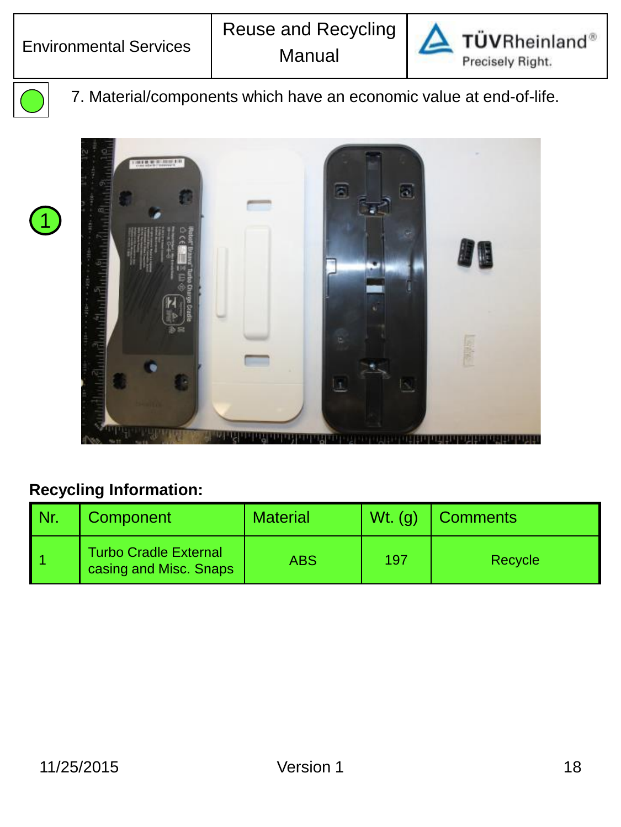



1

7. Material/components which have an economic value at end-of-life.



| Nr. | Component                                              | <b>Material</b> | $Wt.$ (q) | <b>Comments</b> |
|-----|--------------------------------------------------------|-----------------|-----------|-----------------|
|     | <b>Turbo Cradle External</b><br>casing and Misc. Snaps | ABS             | 197       | Recycle         |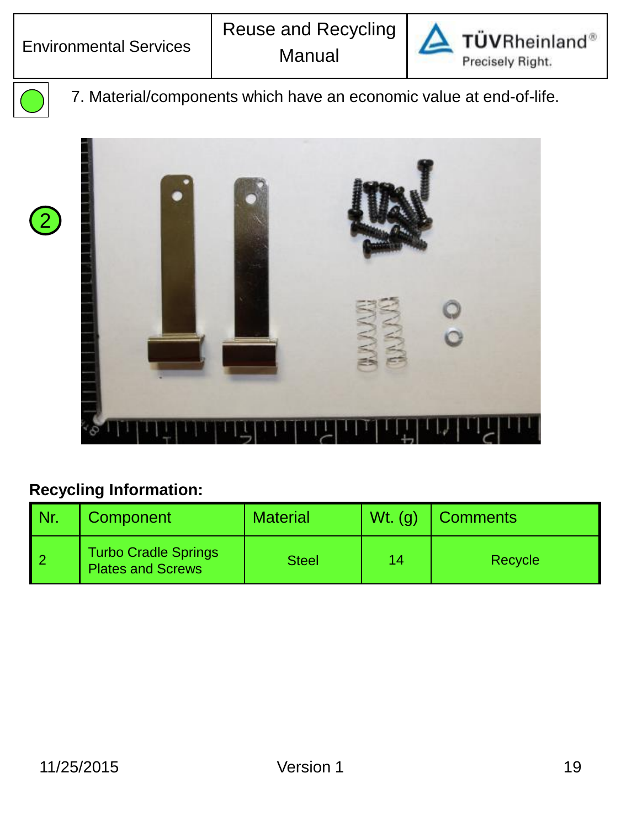



2

7. Material/components which have an economic value at end-of-life.



| l Nr. | Component                                               | <b>Material</b> | $Wt.$ (g) | <b>Comments</b> |
|-------|---------------------------------------------------------|-----------------|-----------|-----------------|
|       | <b>Turbo Cradle Springs</b><br><b>Plates and Screws</b> | <b>Steel</b>    | 14        | Recycle         |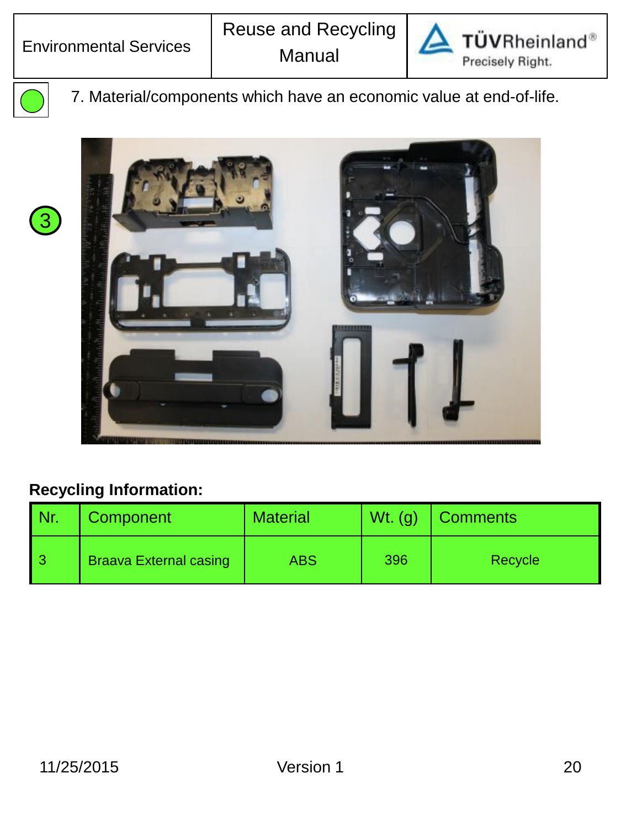



7. Material/components which have an economic value at end-of-life.



| l Nr. | Component                     | <b>Material</b> | $Wt.$ (g) | <b>Comments</b> |
|-------|-------------------------------|-----------------|-----------|-----------------|
| l 3   | <b>Braava External casing</b> | <b>ABS</b>      | 396       | Recycle         |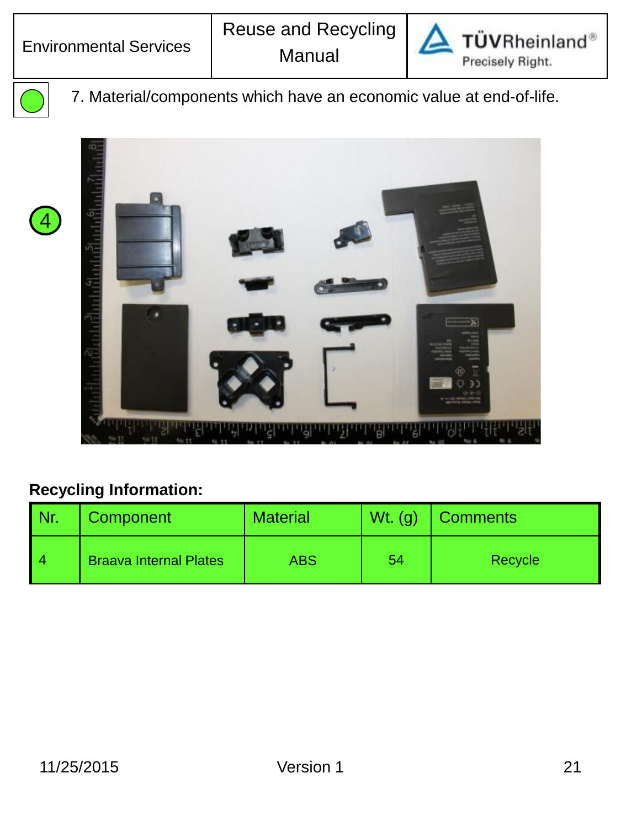



4

7. Material/components which have an economic value at end-of-life.



| l Nr. | Component                     | Material | $Wt.$ (g) | <b>Comments</b> |
|-------|-------------------------------|----------|-----------|-----------------|
| l 4   | <b>Braava Internal Plates</b> | ABS      | 54        | Recycle         |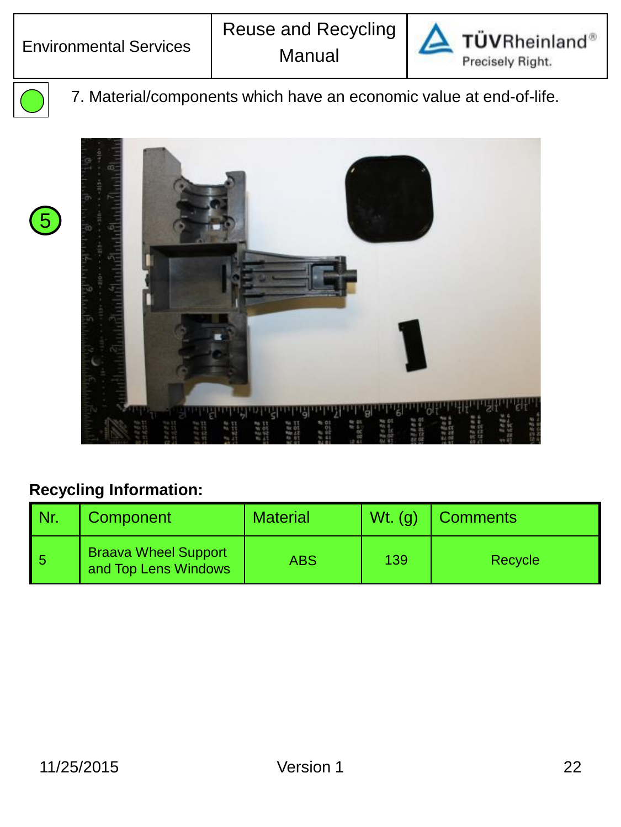



7. Material/components which have an economic value at end-of-life.





| l Nr. | Component                                           | <b>Material</b> | $Wt.$ (g) | <b>Comments</b> |
|-------|-----------------------------------------------------|-----------------|-----------|-----------------|
| 5     | <b>Braava Wheel Support</b><br>and Top Lens Windows | ABS             | 139       | Recycle         |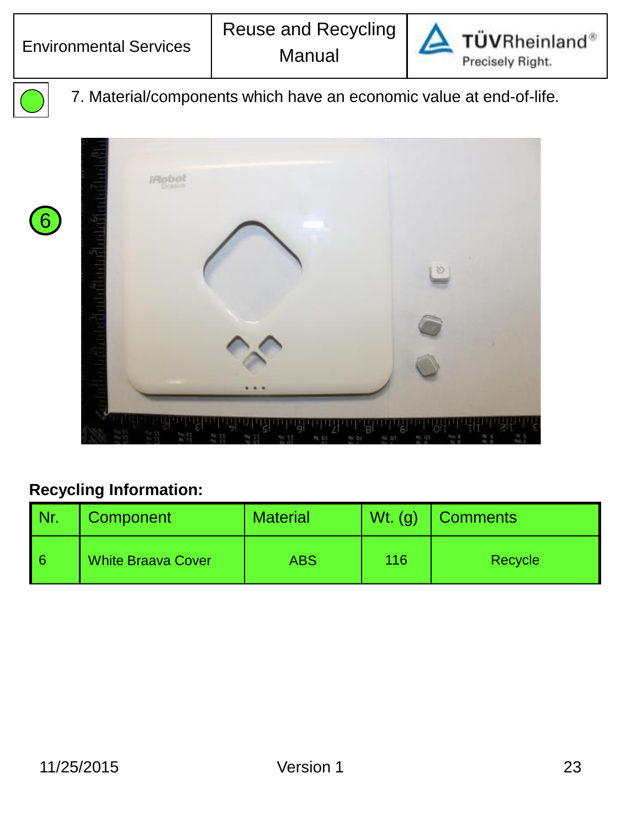



6

7. Material/components which have an economic value at end-of-life.



| Nr. | Component                 | <b>Material</b> | $Wt.$ (g) | <b>Comments</b> |
|-----|---------------------------|-----------------|-----------|-----------------|
| l 6 | <b>White Braava Cover</b> | ABS             | 116       | Recycle         |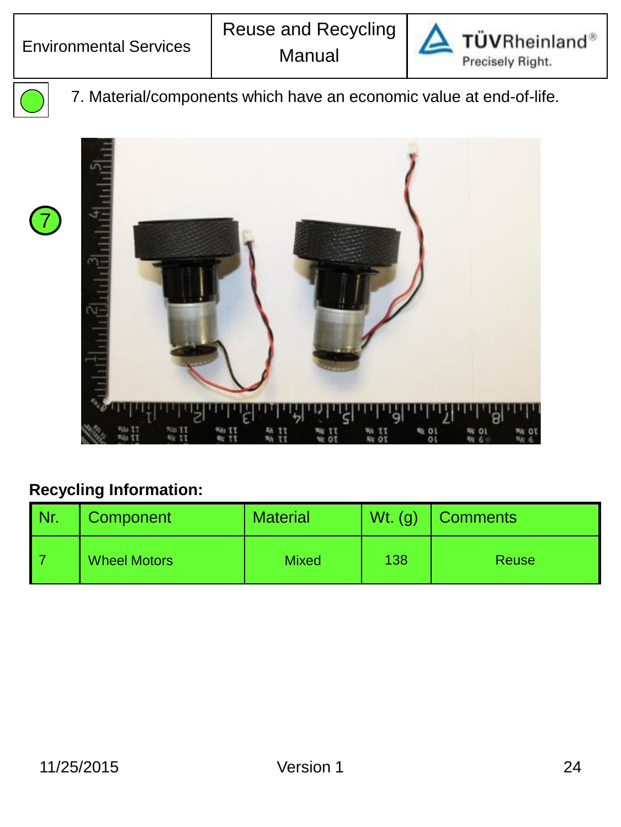

TÜVRheinland® Precisely Right.



7

7. Material/components which have an economic value at end-of-life.



| Nr. | Component           | <b>Material</b> | $Wt_{\cdot}(g)$ | <b>Comments</b> |
|-----|---------------------|-----------------|-----------------|-----------------|
|     | <b>Wheel Motors</b> | <b>Mixed</b>    | 138             | Reuse           |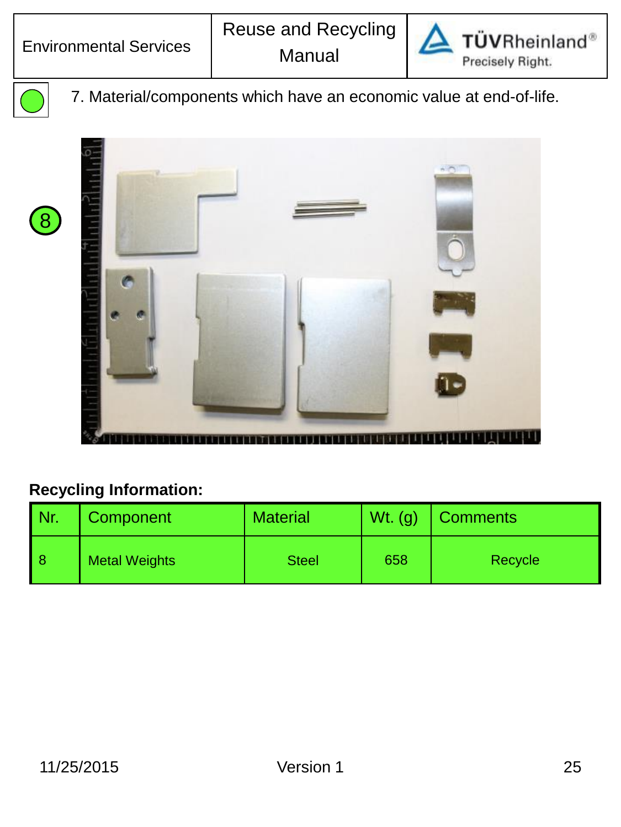



7. Material/components which have an economic value at end-of-life.



| l Nr. | Component            | <b>Material</b> | $Wt.$ (g) | <b>Comments</b> |
|-------|----------------------|-----------------|-----------|-----------------|
| l 8   | <b>Metal Weights</b> | <b>Steel</b>    | 658       | Recycle         |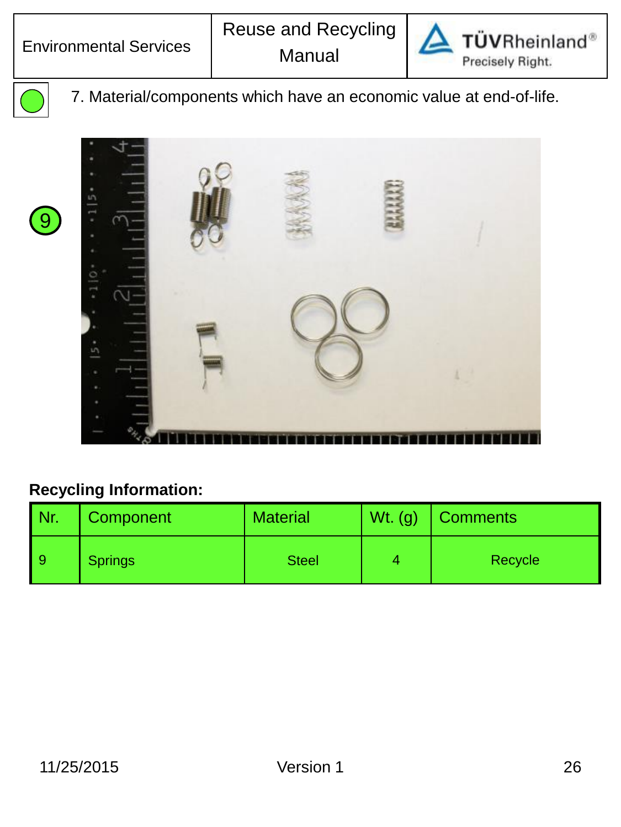



9

7. Material/components which have an economic value at end-of-life.



| l Nr. | Component      | <b>Material</b> | Wt. $(g)$ | <b>Comments</b> |
|-------|----------------|-----------------|-----------|-----------------|
| l 9   | <b>Springs</b> | <b>Steel</b>    |           | Recycle         |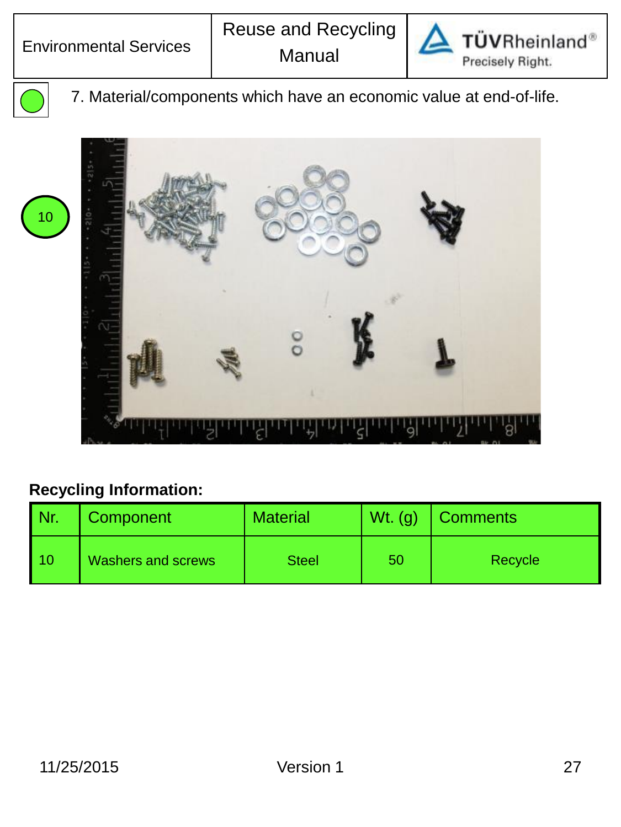



7. Material/components which have an economic value at end-of-life.



| Nr. | Component                 | <b>Material</b> | $Wt.$ (g) | <b>Comments</b> |
|-----|---------------------------|-----------------|-----------|-----------------|
| 10  | <b>Washers and screws</b> | <b>Steel</b>    | 50        | Recycle         |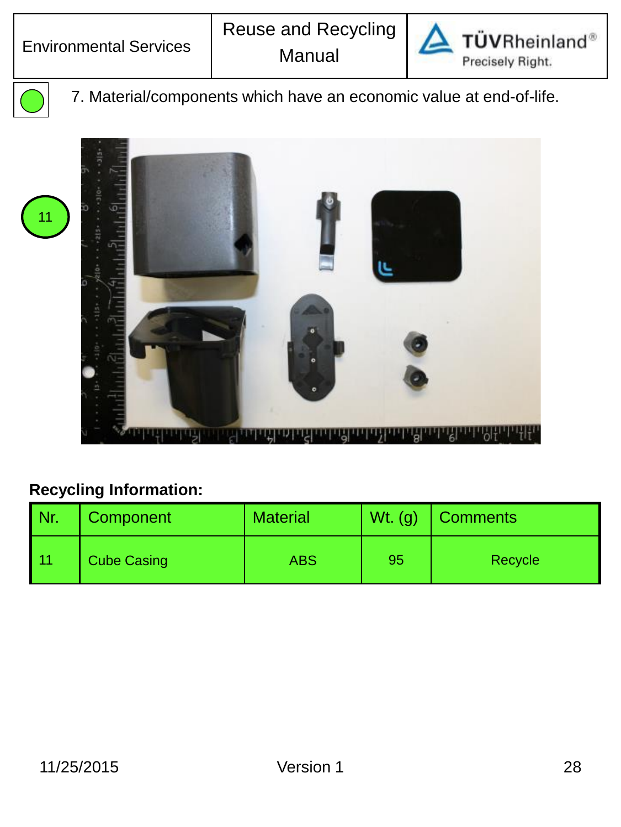

TÜVRheinland® Precisely Right.



7. Material/components which have an economic value at end-of-life.



| l Nr. | Component          | Material | $Wt.$ (g) | <b>Comments</b> |
|-------|--------------------|----------|-----------|-----------------|
| l 11  | <b>Cube Casing</b> | ABS      | 95        | Recycle         |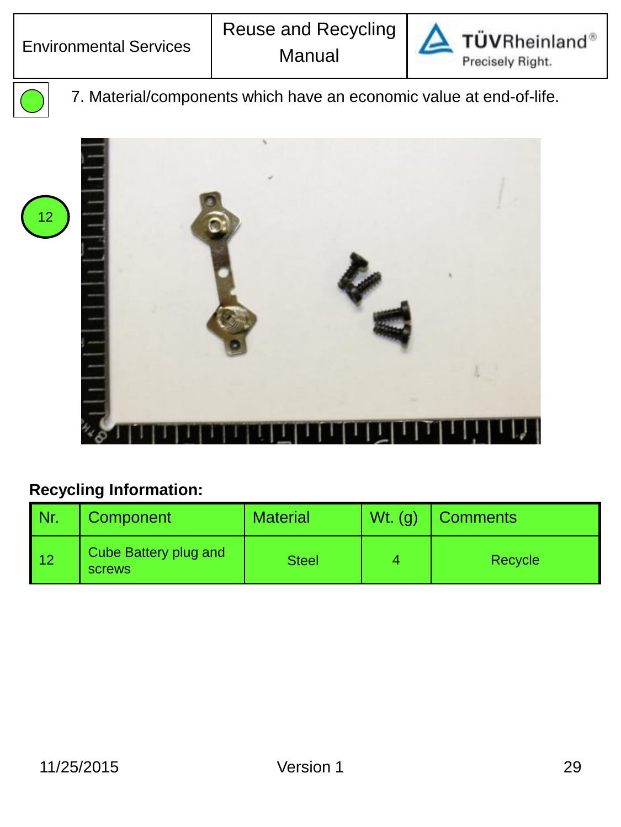

TÜVRheinland® Precisely Right.

7. Material/components which have an economic value at end-of-life.



| l Nr.      | Component                              | <b>Material</b> | $Wt.$ (g) | <b>Comments</b> |
|------------|----------------------------------------|-----------------|-----------|-----------------|
| $\vert$ 12 | Cube Battery plug and<br><b>SCrews</b> | <b>Steel</b>    |           | Recycle         |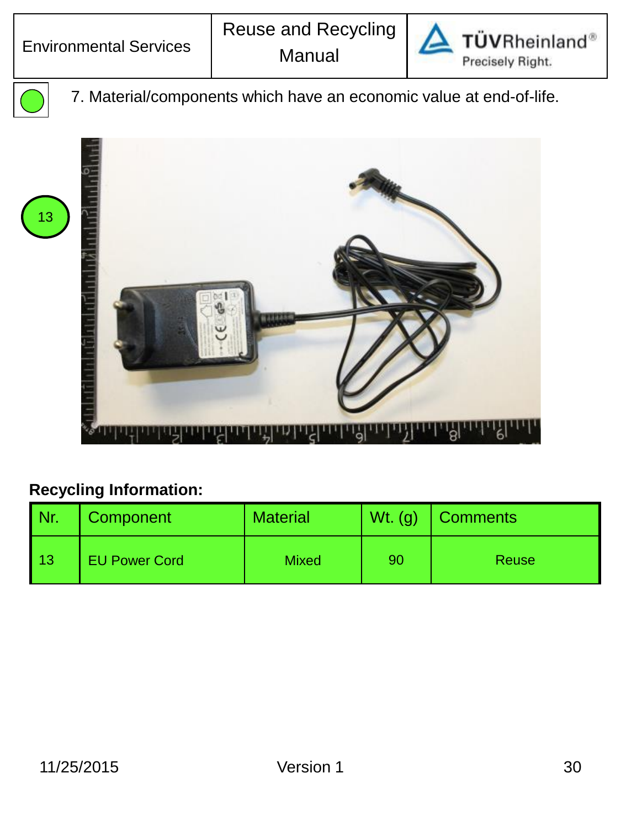

TÜVRheinland® Precisely Right.



7. Material/components which have an economic value at end-of-life.



| l Nr.             | Component            | <b>Material</b> | $Wt.$ (g) | <b>Comments</b> |
|-------------------|----------------------|-----------------|-----------|-----------------|
| $\overline{1}$ 13 | <b>EU Power Cord</b> | <b>Mixed</b>    | 90        | <b>Reuse</b>    |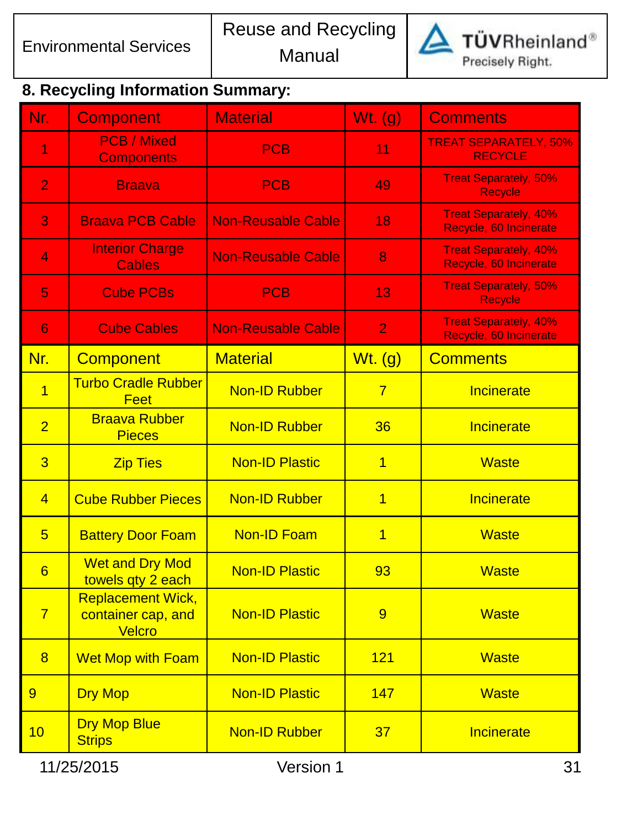

**TÜVRheinland**®

Precisely Right.

# **8. Recycling Information Summary:**

| Nr.             | <b>Component</b>                                         | <b>Material</b>           | Wt. (g)        | <b>Comments</b>                                        |
|-----------------|----------------------------------------------------------|---------------------------|----------------|--------------------------------------------------------|
| 1               | <b>PCB / Mixed</b><br><b>Components</b>                  | <b>PCB</b>                | 11             | <b>TREAT SEPARATELY, 50%</b><br><b>RECYCLE</b>         |
| $\overline{2}$  | <b>Braava</b>                                            | <b>PCB</b>                | 49             | <b>Treat Separately, 50%</b><br><b>Recycle</b>         |
| 3               | <b>Braava PCB Cable</b>                                  | <b>Non-Reusable Cable</b> | 18             | <b>Treat Separately, 40%</b><br>Recycle, 60 Incinerate |
| 4               | <b>Interior Charge</b><br><b>Cables</b>                  | <b>Non-Reusable Cable</b> | 8              | <b>Treat Separately, 40%</b><br>Recycle, 60 Incinerate |
| 5               | <b>Cube PCBs</b>                                         | <b>PCB</b>                | 13             | <b>Treat Separately, 50%</b><br>Recycle                |
| 6               | <b>Cube Cables</b>                                       | <b>Non-Reusable Cable</b> | $\overline{2}$ | <b>Treat Separately, 40%</b><br>Recycle, 60 Incinerate |
| Nr.             | <b>Component</b>                                         | <b>Material</b>           | $Wt.$ (g)      | <b>Comments</b>                                        |
| $\overline{1}$  | <b>Turbo Cradle Rubber</b><br><b>Feet</b>                | <b>Non-ID Rubber</b>      | $\overline{7}$ | Incinerate                                             |
| $\overline{2}$  | <b>Braava Rubber</b><br><b>Pieces</b>                    | <b>Non-ID Rubber</b>      | 36             | Incinerate                                             |
| $\overline{3}$  | <b>Zip Ties</b>                                          | <b>Non-ID Plastic</b>     | $\overline{1}$ | <b>Waste</b>                                           |
| $\overline{4}$  | <b>Cube Rubber Pieces</b>                                | <b>Non-ID Rubber</b>      | $\overline{1}$ | Incinerate                                             |
| $5\overline{}$  | <b>Battery Door Foam</b>                                 | <b>Non-ID Foam</b>        | 1              | <b>Waste</b>                                           |
| $6\overline{6}$ | <b>Wet and Dry Mod</b><br>towels qty 2 each              | <b>Non-ID Plastic</b>     | 93             | <b>Waste</b>                                           |
| $\overline{7}$  | <b>Replacement Wick,</b><br>container cap, and<br>Velcro | <b>Non-ID Plastic</b>     | 9              | <b>Waste</b>                                           |
| $\overline{8}$  | <b>Wet Mop with Foam</b>                                 | <b>Non-ID Plastic</b>     | 121            | <b>Waste</b>                                           |
| 9               | <b>Dry Mop</b>                                           | <b>Non-ID Plastic</b>     | 147            | <b>Waste</b>                                           |
| 10              | <b>Dry Mop Blue</b><br><b>Strips</b>                     | <b>Non-ID Rubber</b>      | 37             | <b>Incinerate</b>                                      |
|                 | 11/25/2015<br>Version 1                                  |                           |                | 31                                                     |